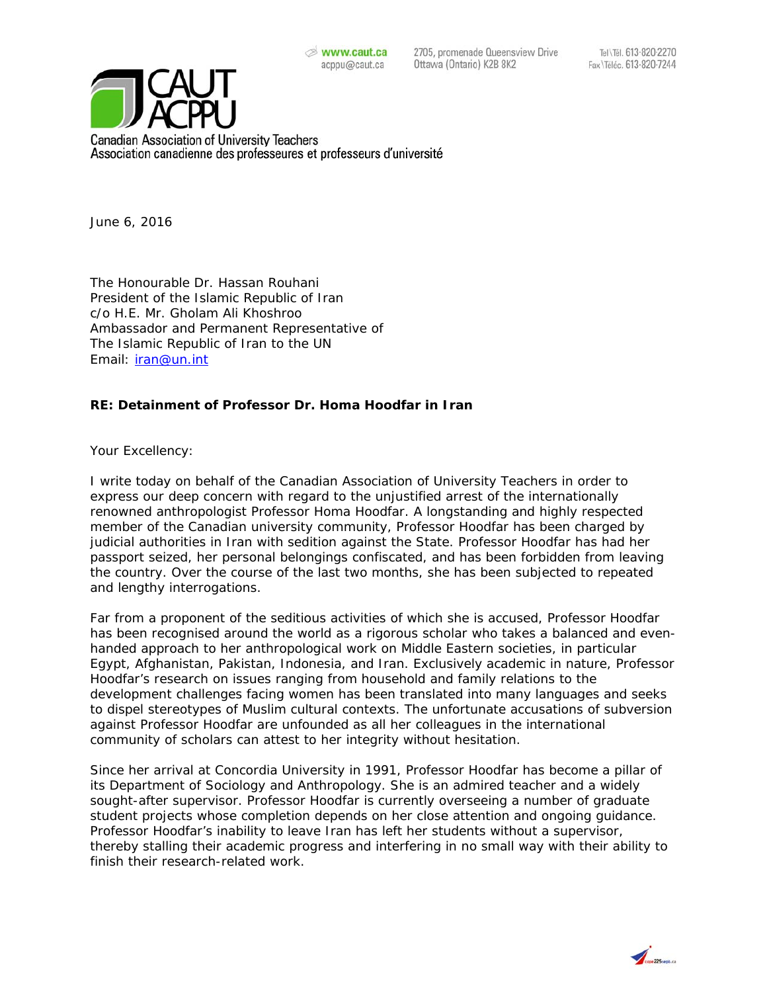2705, promenade Queensview Drive Ottawa (Ontario) K2B 8K2



**Canadian Association of University Teachers** Association canadienne des professeures et professeurs d'université

June 6, 2016

The Honourable Dr. Hassan Rouhani President of the Islamic Republic of Iran c/o H.E. Mr. Gholam Ali Khoshroo Ambassador and Permanent Representative of The Islamic Republic of Iran to the UN Email: iran@un.int

## **RE: Detainment of Professor Dr. Homa Hoodfar in Iran**

Your Excellency:

I write today on behalf of the Canadian Association of University Teachers in order to express our deep concern with regard to the unjustified arrest of the internationally renowned anthropologist Professor Homa Hoodfar. A longstanding and highly respected member of the Canadian university community, Professor Hoodfar has been charged by judicial authorities in Iran with sedition against the State. Professor Hoodfar has had her passport seized, her personal belongings confiscated, and has been forbidden from leaving the country. Over the course of the last two months, she has been subjected to repeated and lengthy interrogations.

Far from a proponent of the seditious activities of which she is accused, Professor Hoodfar has been recognised around the world as a rigorous scholar who takes a balanced and evenhanded approach to her anthropological work on Middle Eastern societies, in particular Egypt, Afghanistan, Pakistan, Indonesia, and Iran. Exclusively academic in nature, Professor Hoodfar's research on issues ranging from household and family relations to the development challenges facing women has been translated into many languages and seeks to dispel stereotypes of Muslim cultural contexts. The unfortunate accusations of subversion against Professor Hoodfar are unfounded as all her colleagues in the international community of scholars can attest to her integrity without hesitation.

Since her arrival at Concordia University in 1991, Professor Hoodfar has become a pillar of its Department of Sociology and Anthropology. She is an admired teacher and a widely sought-after supervisor. Professor Hoodfar is currently overseeing a number of graduate student projects whose completion depends on her close attention and ongoing guidance. Professor Hoodfar's inability to leave Iran has left her students without a supervisor, thereby stalling their academic progress and interfering in no small way with their ability to finish their research-related work.